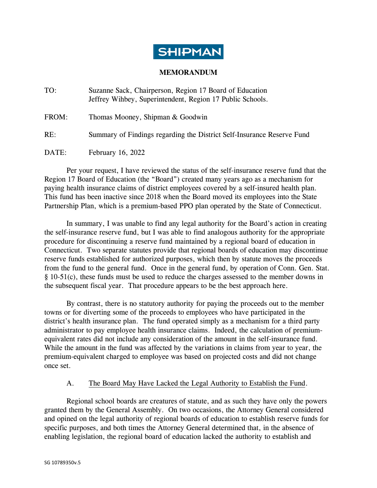

## **MEMORANDUM**

| TO:   | Suzanne Sack, Chairperson, Region 17 Board of Education<br>Jeffrey Wihbey, Superintendent, Region 17 Public Schools. |
|-------|----------------------------------------------------------------------------------------------------------------------|
| FROM: | Thomas Mooney, Shipman & Goodwin                                                                                     |
| RE:   | Summary of Findings regarding the District Self-Insurance Reserve Fund                                               |
| DATE: | February 16, 2022                                                                                                    |

Per your request, I have reviewed the status of the self-insurance reserve fund that the Region 17 Board of Education (the "Board") created many years ago as a mechanism for paying health insurance claims of district employees covered by a self-insured health plan. This fund has been inactive since 2018 when the Board moved its employees into the State Partnership Plan, which is a premium-based PPO plan operated by the State of Connecticut.

In summary, I was unable to find any legal authority for the Board's action in creating the self-insurance reserve fund, but I was able to find analogous authority for the appropriate procedure for discontinuing a reserve fund maintained by a regional board of education in Connecticut. Two separate statutes provide that regional boards of education may discontinue reserve funds established for authorized purposes, which then by statute moves the proceeds from the fund to the general fund. Once in the general fund, by operation of Conn. Gen. Stat. § 10-51(c), these funds must be used to reduce the charges assessed to the member downs in the subsequent fiscal year. That procedure appears to be the best approach here.

By contrast, there is no statutory authority for paying the proceeds out to the member towns or for diverting some of the proceeds to employees who have participated in the district's health insurance plan. The fund operated simply as a mechanism for a third party administrator to pay employee health insurance claims. Indeed, the calculation of premiumequivalent rates did not include any consideration of the amount in the self-insurance fund. While the amount in the fund was affected by the variations in claims from year to year, the premium-equivalent charged to employee was based on projected costs and did not change once set.

#### A. The Board May Have Lacked the Legal Authority to Establish the Fund.

Regional school boards are creatures of statute, and as such they have only the powers granted them by the General Assembly. On two occasions, the Attorney General considered and opined on the legal authority of regional boards of education to establish reserve funds for specific purposes, and both times the Attorney General determined that, in the absence of enabling legislation, the regional board of education lacked the authority to establish and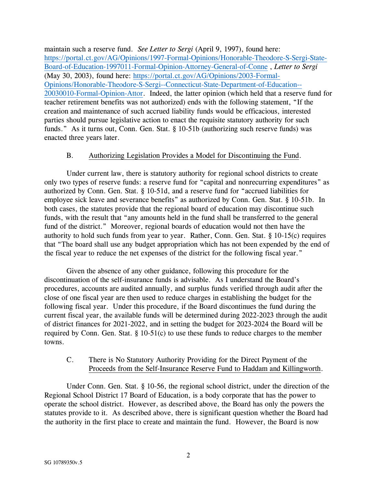maintain such a reserve fund. *See Letter to Sergi* (April 9, 1997), found here: [https://portal.ct.gov/AG/Opinions/1997-Formal-Opinions/Honorable-Theodore-S-Sergi-State-](https://portal.ct.gov/AG/Opinions/1997-Formal-Opinions/Honorable-Theodore-S-Sergi-State-Board-of-Education-1997011-Formal-Opinion-Attorney-General-of-Conne)[Board-of-Education-1997011-Formal-Opinion-Attorney-General-of-Conne](https://portal.ct.gov/AG/Opinions/1997-Formal-Opinions/Honorable-Theodore-S-Sergi-State-Board-of-Education-1997011-Formal-Opinion-Attorney-General-of-Conne) , *Letter to Sergi* (May 30, 2003), found here: [https://portal.ct.gov/AG/Opinions/2003-Formal-](https://portal.ct.gov/AG/Opinions/2003-Formal-Opinions/Honorable-Theodore-S-Sergi--Connecticut-State-Department-of-Education--20030010-Formal-Opinion-Attor)[Opinions/Honorable-Theodore-S-Sergi--Connecticut-State-Department-of-Education--](https://portal.ct.gov/AG/Opinions/2003-Formal-Opinions/Honorable-Theodore-S-Sergi--Connecticut-State-Department-of-Education--20030010-Formal-Opinion-Attor) [20030010-Formal-Opinion-Attor.](https://portal.ct.gov/AG/Opinions/2003-Formal-Opinions/Honorable-Theodore-S-Sergi--Connecticut-State-Department-of-Education--20030010-Formal-Opinion-Attor) Indeed, the latter opinion (which held that a reserve fund for teacher retirement benefits was not authorized) ends with the following statement, "If the creation and maintenance of such accrued liability funds would be efficacious, interested parties should pursue legislative action to enact the requisite statutory authority for such funds." As it turns out, Conn. Gen. Stat. § 10-51b (authorizing such reserve funds) was enacted three years later.

#### B. Authorizing Legislation Provides a Model for Discontinuing the Fund.

Under current law, there is statutory authority for regional school districts to create only two types of reserve funds: a reserve fund for "capital and nonrecurring expenditures" as authorized by Conn. Gen. Stat. § 10-51d, and a reserve fund for "accrued liabilities for employee sick leave and severance benefits" as authorized by Conn. Gen. Stat. § 10-51b. In both cases, the statutes provide that the regional board of education may discontinue such funds, with the result that "any amounts held in the fund shall be transferred to the general fund of the district." Moreover, regional boards of education would not then have the authority to hold such funds from year to year. Rather, Conn. Gen. Stat. § 10-15(c) requires that "The board shall use any budget appropriation which has not been expended by the end of the fiscal year to reduce the net expenses of the district for the following fiscal year."

Given the absence of any other guidance, following this procedure for the discontinuation of the self-insurance funds is advisable. As I understand the Board's procedures, accounts are audited annually, and surplus funds verified through audit after the close of one fiscal year are then used to reduce charges in establishing the budget for the following fiscal year. Under this procedure, if the Board discontinues the fund during the current fiscal year, the available funds will be determined during 2022-2023 through the audit of district finances for 2021-2022, and in setting the budget for 2023-2024 the Board will be required by Conn. Gen. Stat. § 10-51(c) to use these funds to reduce charges to the member towns.

## C. There is No Statutory Authority Providing for the Direct Payment of the Proceeds from the Self-Insurance Reserve Fund to Haddam and Killingworth.

Under Conn. Gen. Stat. § 10-56, the regional school district, under the direction of the Regional School District 17 Board of Education, is a body corporate that has the power to operate the school district. However, as described above, the Board has only the powers the statutes provide to it. As described above, there is significant question whether the Board had the authority in the first place to create and maintain the fund. However, the Board is now